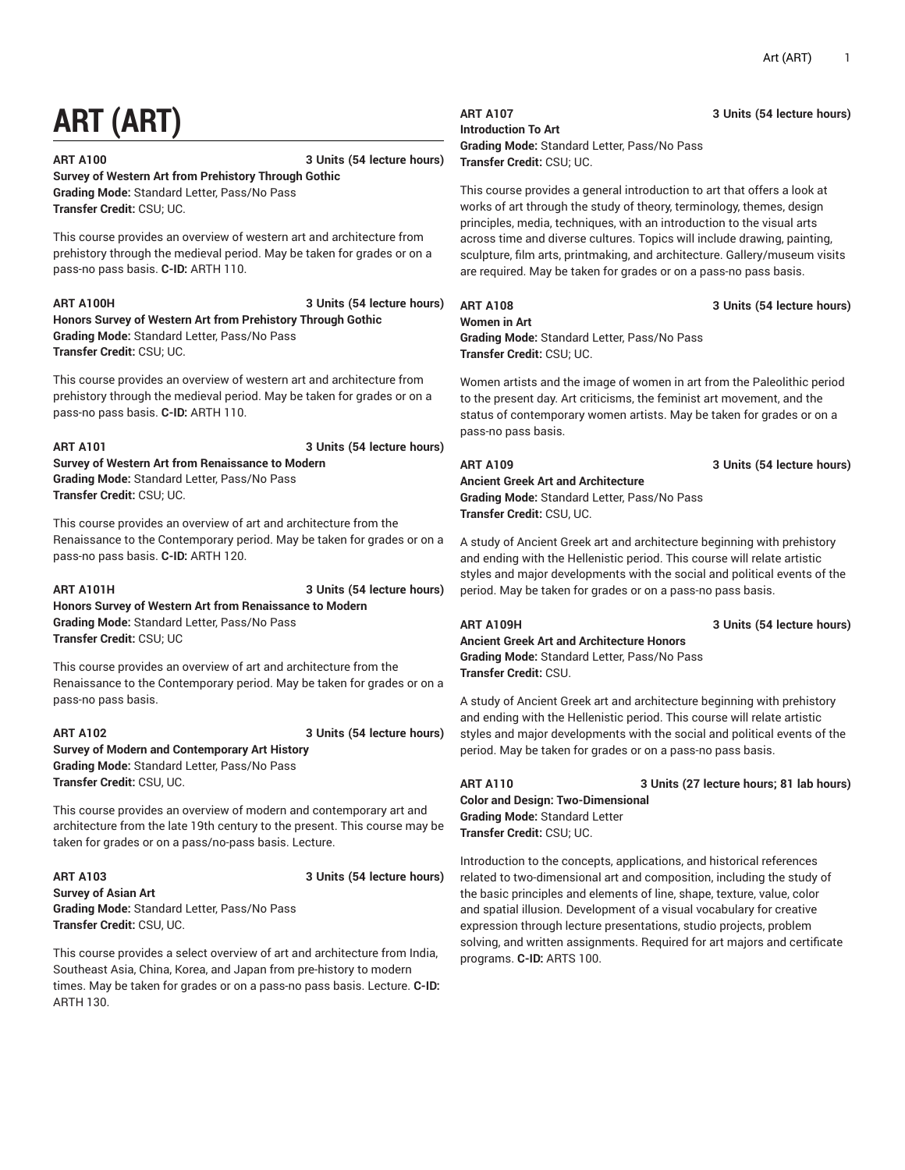# **ART (ART)**

**ART A100 3 Units (54 lecture hours)**

**Survey of Western Art from Prehistory Through Gothic Grading Mode:** Standard Letter, Pass/No Pass **Transfer Credit:** CSU; UC.

This course provides an overview of western art and architecture from prehistory through the medieval period. May be taken for grades or on a pass-no pass basis. **C-ID:** ARTH 110.

### **ART A100H 3 Units (54 lecture hours)**

**Honors Survey of Western Art from Prehistory Through Gothic Grading Mode:** Standard Letter, Pass/No Pass **Transfer Credit:** CSU; UC.

This course provides an overview of western art and architecture from prehistory through the medieval period. May be taken for grades or on a pass-no pass basis. **C-ID:** ARTH 110.

**ART A101 3 Units (54 lecture hours)**

**Survey of Western Art from Renaissance to Modern Grading Mode:** Standard Letter, Pass/No Pass **Transfer Credit:** CSU; UC.

This course provides an overview of art and architecture from the Renaissance to the Contemporary period. May be taken for grades or on a pass-no pass basis. **C-ID:** ARTH 120.

**ART A101H 3 Units (54 lecture hours) Honors Survey of Western Art from Renaissance to Modern**

**Grading Mode:** Standard Letter, Pass/No Pass **Transfer Credit:** CSU; UC

This course provides an overview of art and architecture from the Renaissance to the Contemporary period. May be taken for grades or on a pass-no pass basis.

**ART A102 3 Units (54 lecture hours) Survey of Modern and Contemporary Art History Grading Mode:** Standard Letter, Pass/No Pass **Transfer Credit:** CSU, UC.

This course provides an overview of modern and contemporary art and architecture from the late 19th century to the present. This course may be taken for grades or on a pass/no-pass basis. Lecture.

**ART A103 3 Units (54 lecture hours)**

**Survey of Asian Art Grading Mode:** Standard Letter, Pass/No Pass **Transfer Credit:** CSU, UC.

This course provides a select overview of art and architecture from India, Southeast Asia, China, Korea, and Japan from pre-history to modern times. May be taken for grades or on a pass-no pass basis. Lecture. **C-ID:** ARTH 130.

## **Introduction To Art**

**Grading Mode:** Standard Letter, Pass/No Pass **Transfer Credit:** CSU; UC.

This course provides a general introduction to art that offers a look at works of art through the study of theory, terminology, themes, design principles, media, techniques, with an introduction to the visual arts across time and diverse cultures. Topics will include drawing, painting, sculpture, film arts, printmaking, and architecture. Gallery/museum visits are required. May be taken for grades or on a pass-no pass basis.

## **Women in Art**

### **ART A108 3 Units (54 lecture hours)**

**Grading Mode:** Standard Letter, Pass/No Pass **Transfer Credit:** CSU; UC.

Women artists and the image of women in art from the Paleolithic period to the present day. Art criticisms, the feminist art movement, and the status of contemporary women artists. May be taken for grades or on a pass-no pass basis.

**ART A109 3 Units (54 lecture hours)**

**Ancient Greek Art and Architecture Grading Mode:** Standard Letter, Pass/No Pass **Transfer Credit:** CSU, UC.

A study of Ancient Greek art and architecture beginning with prehistory and ending with the Hellenistic period. This course will relate artistic styles and major developments with the social and political events of the period. May be taken for grades or on a pass-no pass basis.

**ART A109H 3 Units (54 lecture hours) Ancient Greek Art and Architecture Honors Grading Mode:** Standard Letter, Pass/No Pass **Transfer Credit:** CSU.

A study of Ancient Greek art and architecture beginning with prehistory and ending with the Hellenistic period. This course will relate artistic styles and major developments with the social and political events of the period. May be taken for grades or on a pass-no pass basis.

## **ART A110 3 Units (27 lecture hours; 81 lab hours) Color and Design: Two-Dimensional Grading Mode:** Standard Letter **Transfer Credit:** CSU; UC.

Introduction to the concepts, applications, and historical references related to two-dimensional art and composition, including the study of the basic principles and elements of line, shape, texture, value, color and spatial illusion. Development of a visual vocabulary for creative expression through lecture presentations, studio projects, problem solving, and written assignments. Required for art majors and certificate programs. **C-ID:** ARTS 100.

## **ART A107 3 Units (54 lecture hours)**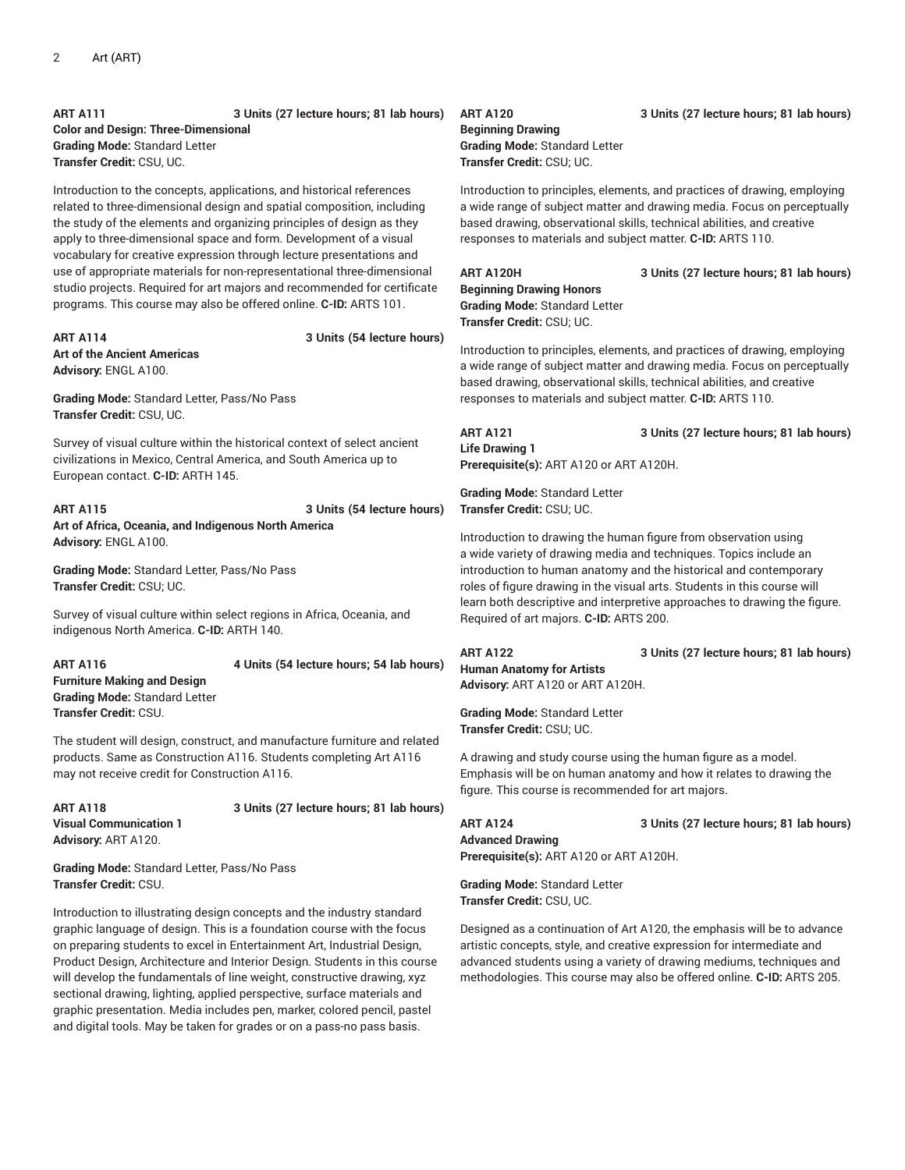**ART A111 3 Units (27 lecture hours; 81 lab hours) Color and Design: Three-Dimensional Grading Mode:** Standard Letter **Transfer Credit:** CSU, UC.

Introduction to the concepts, applications, and historical references related to three-dimensional design and spatial composition, including the study of the elements and organizing principles of design as they apply to three-dimensional space and form. Development of a visual vocabulary for creative expression through lecture presentations and use of appropriate materials for non-representational three-dimensional studio projects. Required for art majors and recommended for certificate programs. This course may also be offered online. **C-ID:** ARTS 101.

### **ART A114 3 Units (54 lecture hours) Art of the Ancient Americas Advisory:** ENGL A100.

**Grading Mode:** Standard Letter, Pass/No Pass **Transfer Credit:** CSU, UC.

Survey of visual culture within the historical context of select ancient civilizations in Mexico, Central America, and South America up to European contact. **C-ID:** ARTH 145.

**ART A115 3 Units (54 lecture hours) Art of Africa, Oceania, and Indigenous North America Advisory:** ENGL A100.

**Grading Mode:** Standard Letter, Pass/No Pass **Transfer Credit:** CSU; UC.

Survey of visual culture within select regions in Africa, Oceania, and indigenous North America. **C-ID:** ARTH 140.

**ART A116 4 Units (54 lecture hours; 54 lab hours) Furniture Making and Design Grading Mode:** Standard Letter **Transfer Credit:** CSU.

The student will design, construct, and manufacture furniture and related products. Same as Construction A116. Students completing Art A116 may not receive credit for Construction A116.

**Visual Communication 1 Advisory:** ART A120.

**ART A118 3 Units (27 lecture hours; 81 lab hours)**

**Grading Mode:** Standard Letter, Pass/No Pass **Transfer Credit:** CSU.

Introduction to illustrating design concepts and the industry standard graphic language of design. This is a foundation course with the focus on preparing students to excel in Entertainment Art, Industrial Design, Product Design, Architecture and Interior Design. Students in this course will develop the fundamentals of line weight, constructive drawing, xyz sectional drawing, lighting, applied perspective, surface materials and graphic presentation. Media includes pen, marker, colored pencil, pastel and digital tools. May be taken for grades or on a pass-no pass basis.

**Beginning Drawing Grading Mode:** Standard Letter **Transfer Credit:** CSU; UC.

Introduction to principles, elements, and practices of drawing, employing a wide range of subject matter and drawing media. Focus on perceptually based drawing, observational skills, technical abilities, and creative responses to materials and subject matter. **C-ID:** ARTS 110.

**Beginning Drawing Honors Grading Mode:** Standard Letter **Transfer Credit:** CSU; UC.

Introduction to principles, elements, and practices of drawing, employing a wide range of subject matter and drawing media. Focus on perceptually based drawing, observational skills, technical abilities, and creative responses to materials and subject matter. **C-ID:** ARTS 110.

**ART A121 3 Units (27 lecture hours; 81 lab hours) Life Drawing 1 Prerequisite(s):** ART A120 or ART A120H.

**Grading Mode:** Standard Letter **Transfer Credit:** CSU; UC.

Introduction to drawing the human figure from observation using a wide variety of drawing media and techniques. Topics include an introduction to human anatomy and the historical and contemporary roles of figure drawing in the visual arts. Students in this course will learn both descriptive and interpretive approaches to drawing the figure. Required of art majors. **C-ID:** ARTS 200.

**ART A122 3 Units (27 lecture hours; 81 lab hours)**

**Human Anatomy for Artists Advisory:** ART A120 or ART A120H.

**Grading Mode:** Standard Letter **Transfer Credit:** CSU; UC.

A drawing and study course using the human figure as a model. Emphasis will be on human anatomy and how it relates to drawing the figure. This course is recommended for art majors.

**ART A124 3 Units (27 lecture hours; 81 lab hours) Advanced Drawing Prerequisite(s):** ART A120 or ART A120H.

**Grading Mode:** Standard Letter **Transfer Credit:** CSU, UC.

Designed as a continuation of Art A120, the emphasis will be to advance artistic concepts, style, and creative expression for intermediate and advanced students using a variety of drawing mediums, techniques and methodologies. This course may also be offered online. **C-ID:** ARTS 205.

**ART A120 3 Units (27 lecture hours; 81 lab hours)**

**ART A120H 3 Units (27 lecture hours; 81 lab hours)**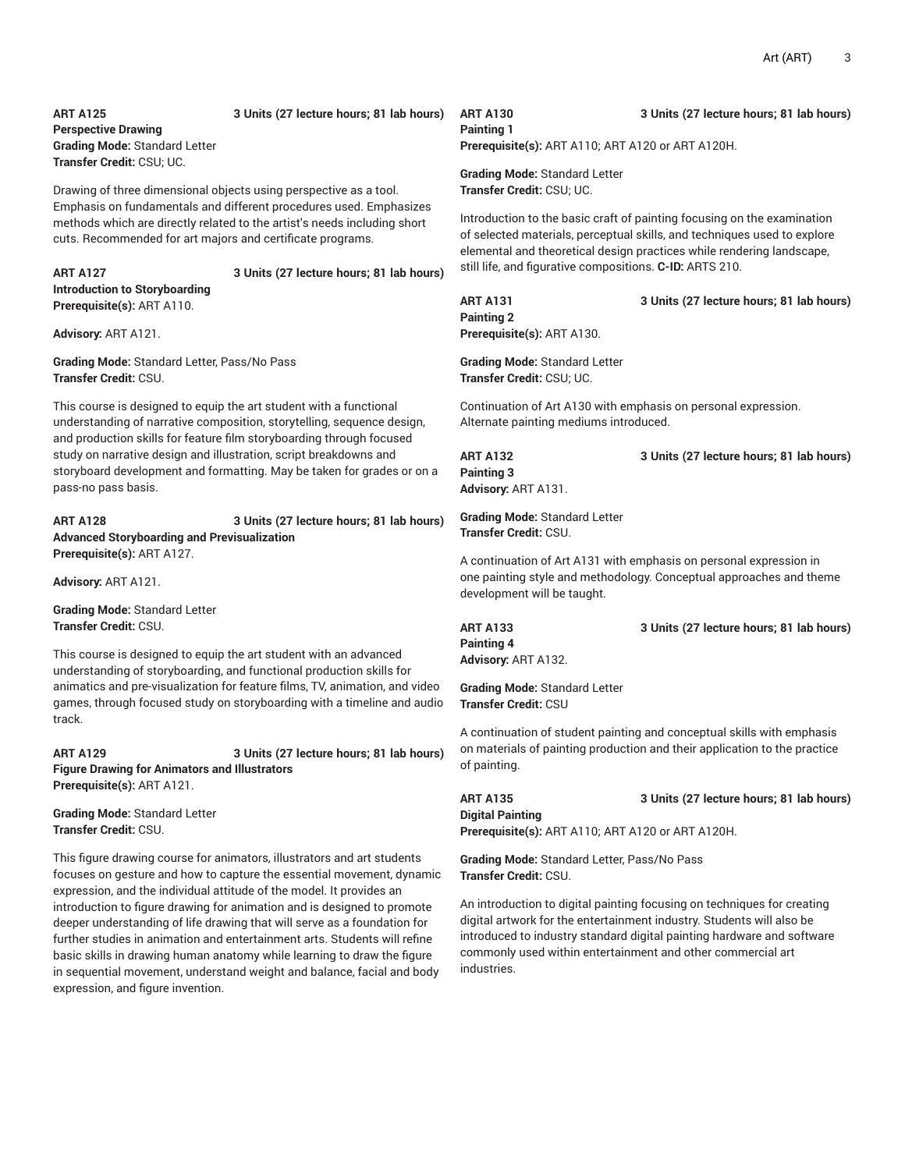## **ART A125 3 Units (27 lecture hours; 81 lab hours) Perspective Drawing Grading Mode:** Standard Letter **Transfer Credit:** CSU; UC.

Drawing of three dimensional objects using perspective as a tool. Emphasis on fundamentals and different procedures used. Emphasizes methods which are directly related to the artist's needs including short cuts. Recommended for art majors and certificate programs.

**ART A127 3 Units (27 lecture hours; 81 lab hours) Introduction to Storyboarding Prerequisite(s):** ART A110.

**Advisory:** ART A121.

**Grading Mode:** Standard Letter, Pass/No Pass **Transfer Credit:** CSU.

This course is designed to equip the art student with a functional understanding of narrative composition, storytelling, sequence design, and production skills for feature film storyboarding through focused study on narrative design and illustration, script breakdowns and storyboard development and formatting. May be taken for grades or on a pass-no pass basis.

**ART A128 3 Units (27 lecture hours; 81 lab hours) Advanced Storyboarding and Previsualization Prerequisite(s):** ART A127.

**Advisory:** ART A121.

**Grading Mode:** Standard Letter **Transfer Credit:** CSU.

This course is designed to equip the art student with an advanced understanding of storyboarding, and functional production skills for animatics and pre-visualization for feature films, TV, animation, and video games, through focused study on storyboarding with a timeline and audio track.

**ART A129 3 Units (27 lecture hours; 81 lab hours) Figure Drawing for Animators and Illustrators Prerequisite(s):** ART A121.

**Grading Mode:** Standard Letter **Transfer Credit:** CSU.

This figure drawing course for animators, illustrators and art students focuses on gesture and how to capture the essential movement, dynamic expression, and the individual attitude of the model. It provides an introduction to figure drawing for animation and is designed to promote deeper understanding of life drawing that will serve as a foundation for further studies in animation and entertainment arts. Students will refine basic skills in drawing human anatomy while learning to draw the figure in sequential movement, understand weight and balance, facial and body expression, and figure invention.

## **Painting 1**

**ART A130 3 Units (27 lecture hours; 81 lab hours)**

**Prerequisite(s):** ART A110; ART A120 or ART A120H.

**Grading Mode:** Standard Letter **Transfer Credit:** CSU; UC.

Introduction to the basic craft of painting focusing on the examination of selected materials, perceptual skills, and techniques used to explore elemental and theoretical design practices while rendering landscape, still life, and figurative compositions. **C-ID:** ARTS 210.

**ART A131 3 Units (27 lecture hours; 81 lab hours) Painting 2 Prerequisite(s):** ART A130.

**Grading Mode:** Standard Letter **Transfer Credit:** CSU; UC.

Continuation of Art A130 with emphasis on personal expression. Alternate painting mediums introduced.

**Painting 3 Advisory:** ART A131.

**ART A132 3 Units (27 lecture hours; 81 lab hours)**

**Grading Mode:** Standard Letter **Transfer Credit:** CSU.

A continuation of Art A131 with emphasis on personal expression in one painting style and methodology. Conceptual approaches and theme development will be taught.

**ART A133 3 Units (27 lecture hours; 81 lab hours) Painting 4 Advisory:** ART A132.

**Grading Mode:** Standard Letter **Transfer Credit:** CSU

A continuation of student painting and conceptual skills with emphasis on materials of painting production and their application to the practice of painting.

**Digital Painting**

**ART A135 3 Units (27 lecture hours; 81 lab hours)**

**Prerequisite(s):** ART A110; ART A120 or ART A120H.

**Grading Mode:** Standard Letter, Pass/No Pass

**Transfer Credit:** CSU.

An introduction to digital painting focusing on techniques for creating digital artwork for the entertainment industry. Students will also be introduced to industry standard digital painting hardware and software commonly used within entertainment and other commercial art industries.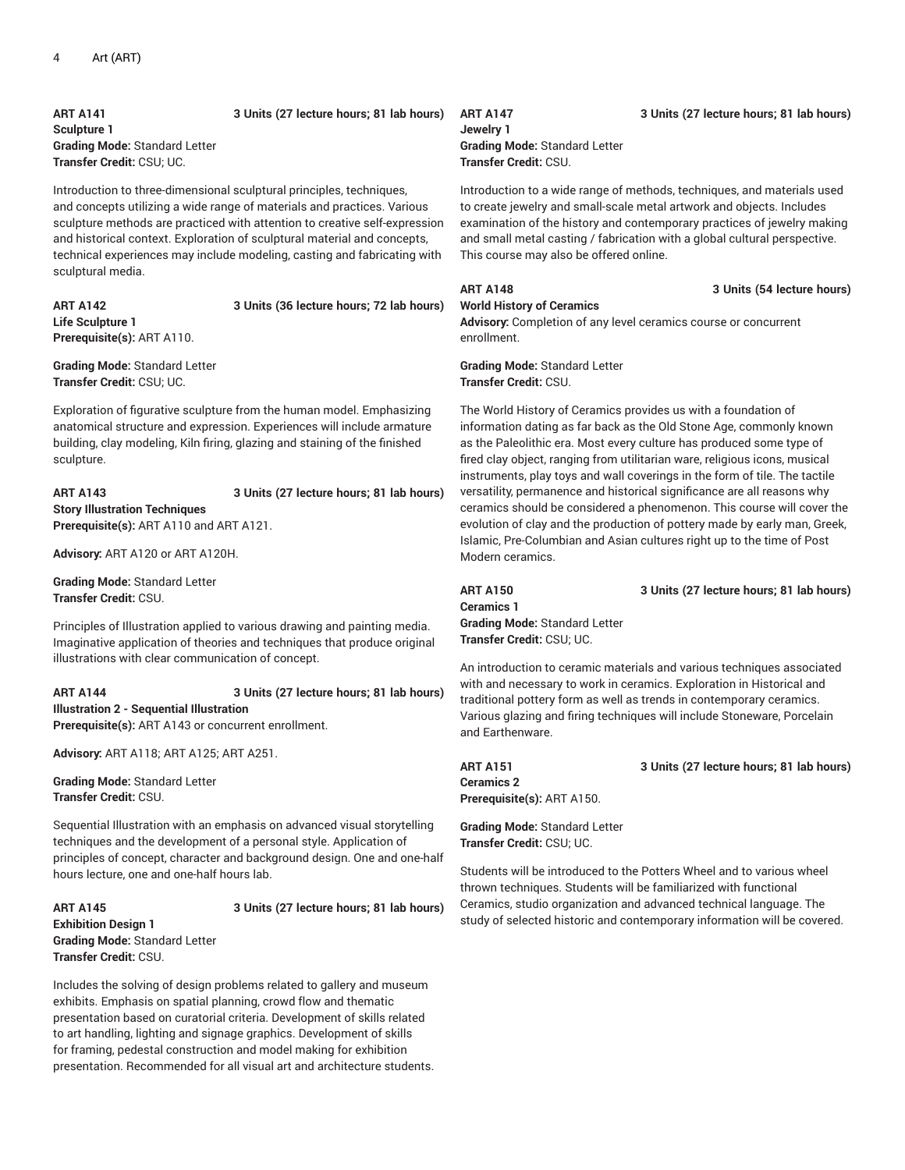**ART A141 3 Units (27 lecture hours; 81 lab hours) Sculpture 1 Grading Mode:** Standard Letter **Transfer Credit:** CSU; UC.

Introduction to three-dimensional sculptural principles, techniques, and concepts utilizing a wide range of materials and practices. Various sculpture methods are practiced with attention to creative self-expression and historical context. Exploration of sculptural material and concepts, technical experiences may include modeling, casting and fabricating with sculptural media.

**ART A142 3 Units (36 lecture hours; 72 lab hours) Life Sculpture 1 Prerequisite(s):** ART A110.

**Grading Mode:** Standard Letter **Transfer Credit:** CSU; UC.

Exploration of figurative sculpture from the human model. Emphasizing anatomical structure and expression. Experiences will include armature building, clay modeling, Kiln firing, glazing and staining of the finished sculpture.

**ART A143 3 Units (27 lecture hours; 81 lab hours) Story Illustration Techniques Prerequisite(s):** ART A110 and ART A121.

**Advisory:** ART A120 or ART A120H.

**Grading Mode:** Standard Letter **Transfer Credit:** CSU.

Principles of Illustration applied to various drawing and painting media. Imaginative application of theories and techniques that produce original illustrations with clear communication of concept.

**ART A144 3 Units (27 lecture hours; 81 lab hours) Illustration 2 - Sequential Illustration Prerequisite(s):** ART A143 or concurrent enrollment.

**Advisory:** ART A118; ART A125; ART A251.

**Grading Mode:** Standard Letter **Transfer Credit:** CSU.

Sequential Illustration with an emphasis on advanced visual storytelling techniques and the development of a personal style. Application of principles of concept, character and background design. One and one-half hours lecture, one and one-half hours lab.

**Exhibition Design 1 Grading Mode:** Standard Letter **Transfer Credit:** CSU.

**ART A145 3 Units (27 lecture hours; 81 lab hours)**

Includes the solving of design problems related to gallery and museum exhibits. Emphasis on spatial planning, crowd flow and thematic presentation based on curatorial criteria. Development of skills related to art handling, lighting and signage graphics. Development of skills for framing, pedestal construction and model making for exhibition presentation. Recommended for all visual art and architecture students.

**Jewelry 1 Grading Mode:** Standard Letter **Transfer Credit:** CSU.

Introduction to a wide range of methods, techniques, and materials used to create jewelry and small-scale metal artwork and objects. Includes examination of the history and contemporary practices of jewelry making and small metal casting / fabrication with a global cultural perspective. This course may also be offered online.

## **ART A148 3 Units (54 lecture hours)**

**World History of Ceramics Advisory:** Completion of any level ceramics course or concurrent enrollment.

**Grading Mode:** Standard Letter **Transfer Credit:** CSU.

The World History of Ceramics provides us with a foundation of information dating as far back as the Old Stone Age, commonly known as the Paleolithic era. Most every culture has produced some type of fired clay object, ranging from utilitarian ware, religious icons, musical instruments, play toys and wall coverings in the form of tile. The tactile versatility, permanence and historical significance are all reasons why ceramics should be considered a phenomenon. This course will cover the evolution of clay and the production of pottery made by early man, Greek, Islamic, Pre-Columbian and Asian cultures right up to the time of Post Modern ceramics.

**Ceramics 1 Grading Mode:** Standard Letter **Transfer Credit:** CSU; UC.

**ART A150 3 Units (27 lecture hours; 81 lab hours)**

An introduction to ceramic materials and various techniques associated with and necessary to work in ceramics. Exploration in Historical and traditional pottery form as well as trends in contemporary ceramics. Various glazing and firing techniques will include Stoneware, Porcelain and Earthenware.

**Ceramics 2 Prerequisite(s):** ART A150.

**ART A151 3 Units (27 lecture hours; 81 lab hours)**

**Grading Mode:** Standard Letter **Transfer Credit:** CSU; UC.

Students will be introduced to the Potters Wheel and to various wheel thrown techniques. Students will be familiarized with functional Ceramics, studio organization and advanced technical language. The study of selected historic and contemporary information will be covered.

### **ART A147 3 Units (27 lecture hours; 81 lab hours)**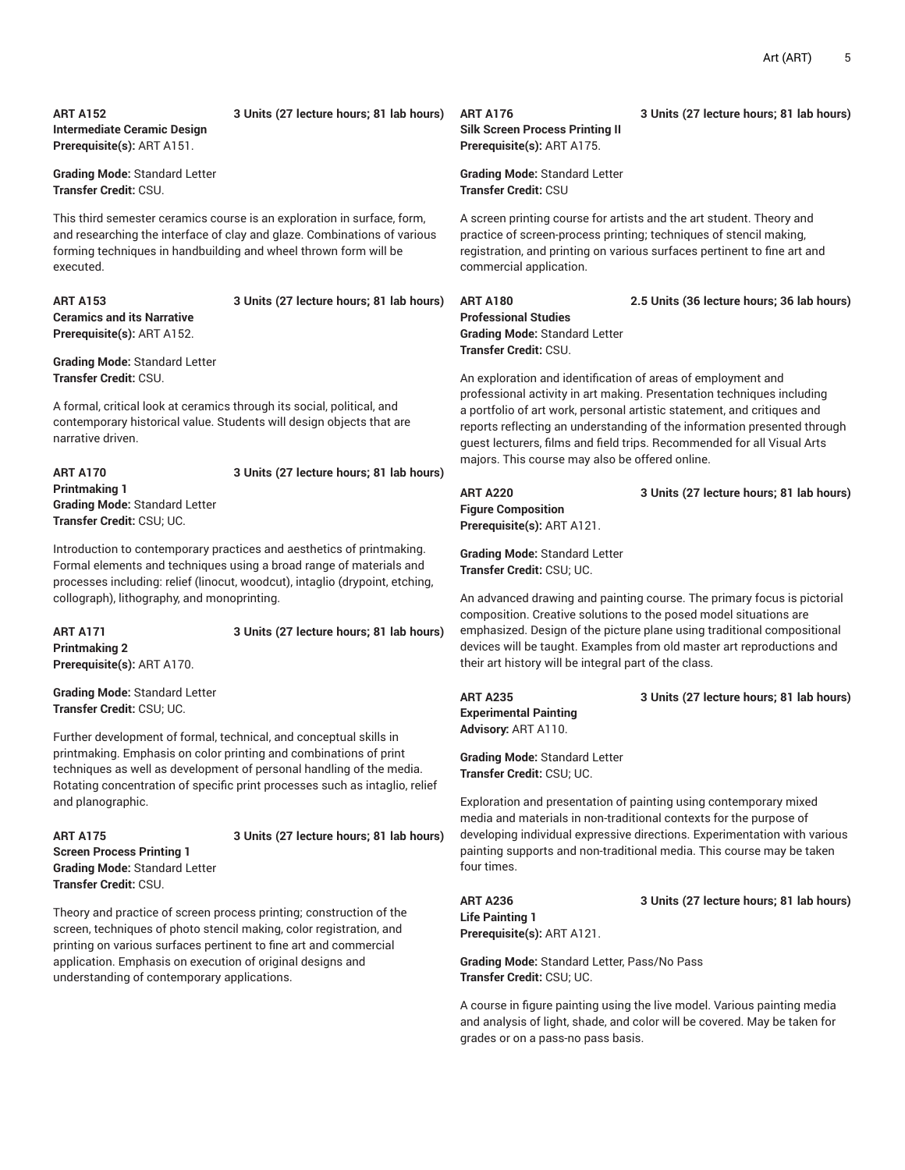# **Intermediate Ceramic Design**

## **ART A152 3 Units (27 lecture hours; 81 lab hours)**

**Prerequisite(s):** ART A151.

**Grading Mode:** Standard Letter **Transfer Credit:** CSU.

This third semester ceramics course is an exploration in surface, form, and researching the interface of clay and glaze. Combinations of various forming techniques in handbuilding and wheel thrown form will be executed.

**Ceramics and its Narrative Prerequisite(s):** ART A152.

## **ART A153 3 Units (27 lecture hours; 81 lab hours)**

**Grading Mode:** Standard Letter **Transfer Credit:** CSU.

A formal, critical look at ceramics through its social, political, and contemporary historical value. Students will design objects that are narrative driven.

## **ART A170 3 Units (27 lecture hours; 81 lab hours) Printmaking 1 Grading Mode:** Standard Letter **Transfer Credit:** CSU; UC.

Introduction to contemporary practices and aesthetics of printmaking. Formal elements and techniques using a broad range of materials and processes including: relief (linocut, woodcut), intaglio (drypoint, etching, collograph), lithography, and monoprinting.

**ART A171 3 Units (27 lecture hours; 81 lab hours) Printmaking 2 Prerequisite(s):** ART A170.

**Grading Mode:** Standard Letter **Transfer Credit:** CSU; UC.

Further development of formal, technical, and conceptual skills in printmaking. Emphasis on color printing and combinations of print techniques as well as development of personal handling of the media. Rotating concentration of specific print processes such as intaglio, relief and planographic.

**Screen Process Printing 1 Grading Mode:** Standard Letter **Transfer Credit:** CSU.

## **ART A175 3 Units (27 lecture hours; 81 lab hours)**

Theory and practice of screen process printing; construction of the screen, techniques of photo stencil making, color registration, and printing on various surfaces pertinent to fine art and commercial application. Emphasis on execution of original designs and understanding of contemporary applications.

## **ART A176 3 Units (27 lecture hours; 81 lab hours) Silk Screen Process Printing II Prerequisite(s):** ART A175.

**Grading Mode:** Standard Letter **Transfer Credit:** CSU

A screen printing course for artists and the art student. Theory and practice of screen-process printing; techniques of stencil making, registration, and printing on various surfaces pertinent to fine art and commercial application.

**ART A180 2.5 Units (36 lecture hours; 36 lab hours) Professional Studies Grading Mode:** Standard Letter **Transfer Credit:** CSU.

An exploration and identification of areas of employment and professional activity in art making. Presentation techniques including a portfolio of art work, personal artistic statement, and critiques and reports reflecting an understanding of the information presented through guest lecturers, films and field trips. Recommended for all Visual Arts majors. This course may also be offered online.

**Figure Composition Prerequisite(s):** ART A121.

**Grading Mode:** Standard Letter **Transfer Credit:** CSU; UC.

An advanced drawing and painting course. The primary focus is pictorial composition. Creative solutions to the posed model situations are emphasized. Design of the picture plane using traditional compositional devices will be taught. Examples from old master art reproductions and their art history will be integral part of the class.

## **ART A235 3 Units (27 lecture hours; 81 lab hours)**

**Experimental Painting Advisory:** ART A110.

**Grading Mode:** Standard Letter **Transfer Credit:** CSU; UC.

Exploration and presentation of painting using contemporary mixed media and materials in non-traditional contexts for the purpose of developing individual expressive directions. Experimentation with various painting supports and non-traditional media. This course may be taken four times.

**ART A236 3 Units (27 lecture hours; 81 lab hours) Life Painting 1 Prerequisite(s):** ART A121.

**Grading Mode:** Standard Letter, Pass/No Pass **Transfer Credit:** CSU; UC.

A course in figure painting using the live model. Various painting media and analysis of light, shade, and color will be covered. May be taken for grades or on a pass-no pass basis.

**ART A220 3 Units (27 lecture hours; 81 lab hours)**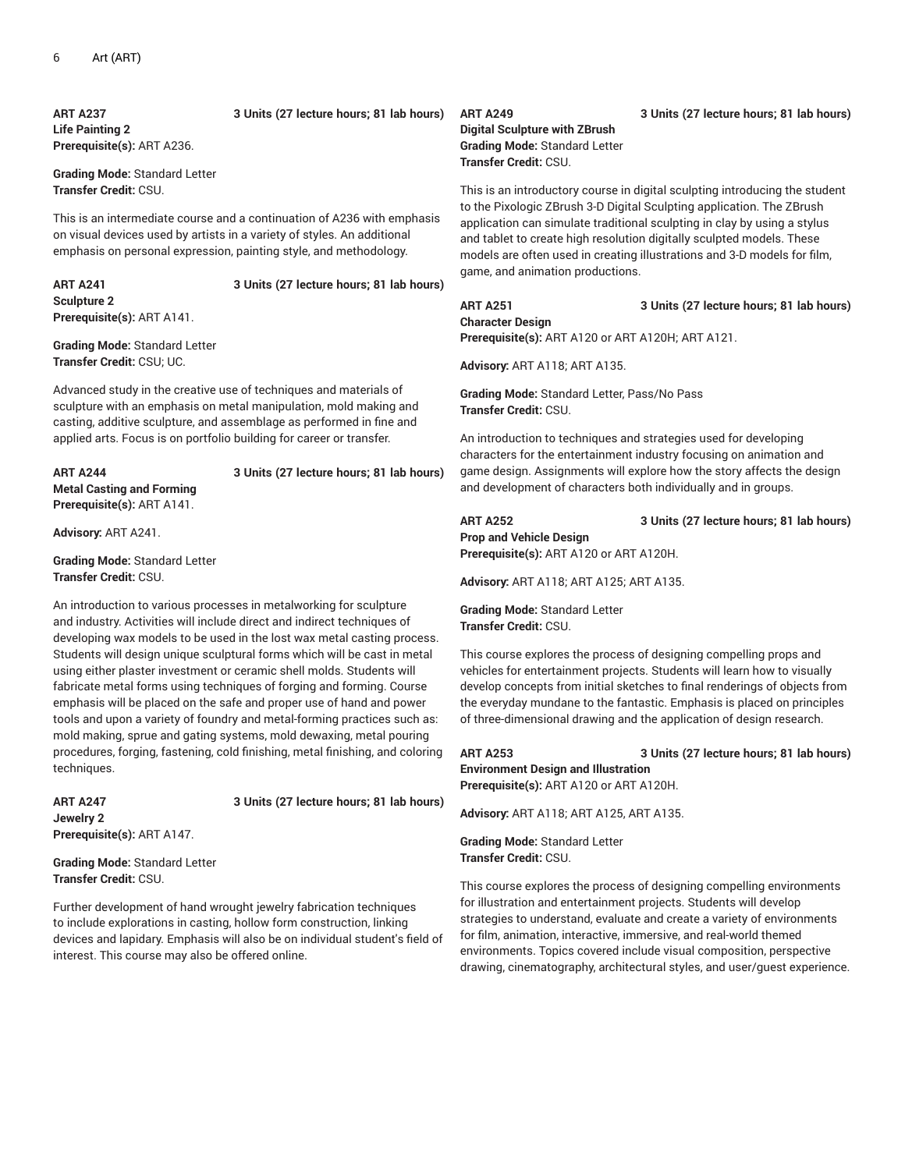**ART A237 3 Units (27 lecture hours; 81 lab hours) Life Painting 2 Prerequisite(s):** ART A236.

**Grading Mode:** Standard Letter **Transfer Credit:** CSU.

This is an intermediate course and a continuation of A236 with emphasis on visual devices used by artists in a variety of styles. An additional emphasis on personal expression, painting style, and methodology.

**ART A241 3 Units (27 lecture hours; 81 lab hours) Sculpture 2 Prerequisite(s):** ART A141.

**Grading Mode:** Standard Letter **Transfer Credit:** CSU; UC.

Advanced study in the creative use of techniques and materials of sculpture with an emphasis on metal manipulation, mold making and casting, additive sculpture, and assemblage as performed in fine and applied arts. Focus is on portfolio building for career or transfer.

**ART A244 3 Units (27 lecture hours; 81 lab hours) Metal Casting and Forming Prerequisite(s):** ART A141.

**Advisory:** ART A241.

**Grading Mode:** Standard Letter **Transfer Credit:** CSU.

An introduction to various processes in metalworking for sculpture and industry. Activities will include direct and indirect techniques of developing wax models to be used in the lost wax metal casting process. Students will design unique sculptural forms which will be cast in metal using either plaster investment or ceramic shell molds. Students will fabricate metal forms using techniques of forging and forming. Course emphasis will be placed on the safe and proper use of hand and power tools and upon a variety of foundry and metal-forming practices such as: mold making, sprue and gating systems, mold dewaxing, metal pouring procedures, forging, fastening, cold finishing, metal finishing, and coloring techniques.

**Jewelry 2 Prerequisite(s):** ART A147.

**ART A247 3 Units (27 lecture hours; 81 lab hours)**

**Grading Mode:** Standard Letter **Transfer Credit:** CSU.

Further development of hand wrought jewelry fabrication techniques to include explorations in casting, hollow form construction, linking devices and lapidary. Emphasis will also be on individual student's field of interest. This course may also be offered online.

**Digital Sculpture with ZBrush Grading Mode:** Standard Letter **Transfer Credit:** CSU.

This is an introductory course in digital sculpting introducing the student to the Pixologic ZBrush 3-D Digital Sculpting application. The ZBrush application can simulate traditional sculpting in clay by using a stylus and tablet to create high resolution digitally sculpted models. These models are often used in creating illustrations and 3-D models for film, game, and animation productions.

**ART A251 3 Units (27 lecture hours; 81 lab hours) Character Design Prerequisite(s):** ART A120 or ART A120H; ART A121.

**Advisory:** ART A118; ART A135.

**Grading Mode:** Standard Letter, Pass/No Pass **Transfer Credit:** CSU.

An introduction to techniques and strategies used for developing characters for the entertainment industry focusing on animation and game design. Assignments will explore how the story affects the design and development of characters both individually and in groups.

**ART A252 3 Units (27 lecture hours; 81 lab hours) Prop and Vehicle Design Prerequisite(s):** ART A120 or ART A120H.

**Advisory:** ART A118; ART A125; ART A135.

**Grading Mode:** Standard Letter **Transfer Credit:** CSU.

This course explores the process of designing compelling props and vehicles for entertainment projects. Students will learn how to visually develop concepts from initial sketches to final renderings of objects from the everyday mundane to the fantastic. Emphasis is placed on principles of three-dimensional drawing and the application of design research.

**ART A253 3 Units (27 lecture hours; 81 lab hours) Environment Design and Illustration Prerequisite(s):** ART A120 or ART A120H.

**Advisory:** ART A118; ART A125, ART A135.

**Grading Mode:** Standard Letter **Transfer Credit:** CSU.

This course explores the process of designing compelling environments for illustration and entertainment projects. Students will develop strategies to understand, evaluate and create a variety of environments for film, animation, interactive, immersive, and real-world themed environments. Topics covered include visual composition, perspective drawing, cinematography, architectural styles, and user/guest experience.

### **ART A249 3 Units (27 lecture hours; 81 lab hours)**